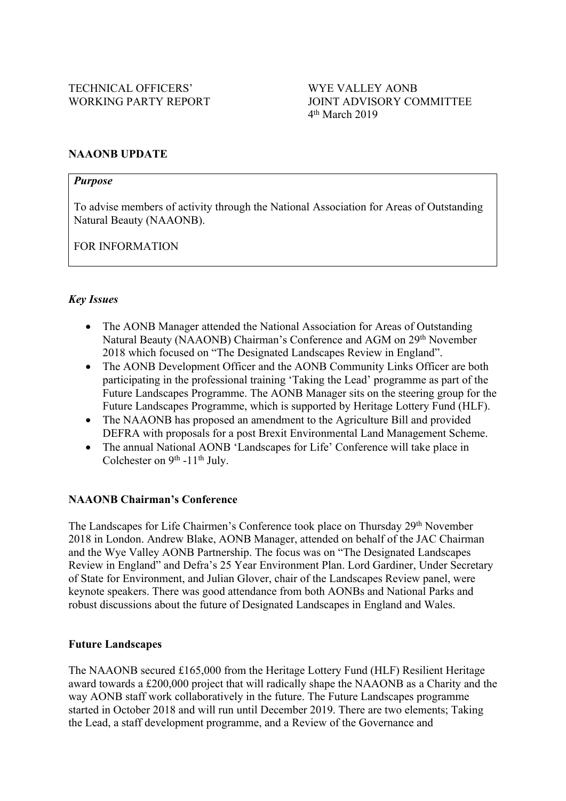#### **NAAONB UPDATE**

#### *Purpose*

To advise members of activity through the National Association for Areas of Outstanding Natural Beauty (NAAONB).

FOR INFORMATION

# *Key Issues*

- The AONB Manager attended the National Association for Areas of Outstanding Natural Beauty (NAAONB) Chairman's Conference and AGM on 29<sup>th</sup> November 2018 which focused on "The Designated Landscapes Review in England".
- The AONB Development Officer and the AONB Community Links Officer are both participating in the professional training 'Taking the Lead' programme as part of the Future Landscapes Programme. The AONB Manager sits on the steering group for the Future Landscapes Programme, which is supported by Heritage Lottery Fund (HLF).
- The NAAONB has proposed an amendment to the Agriculture Bill and provided DEFRA with proposals for a post Brexit Environmental Land Management Scheme.
- The annual National AONB 'Landscapes for Life' Conference will take place in Colchester on 9<sup>th</sup> -11<sup>th</sup> July.

# **NAAONB Chairman's Conference**

The Landscapes for Life Chairmen's Conference took place on Thursday 29th November 2018 in London. Andrew Blake, AONB Manager, attended on behalf of the JAC Chairman and the Wye Valley AONB Partnership. The focus was on "The Designated Landscapes Review in England" and Defra's 25 Year Environment Plan. Lord Gardiner, Under Secretary of State for Environment, and Julian Glover, chair of the Landscapes Review panel, were keynote speakers. There was good attendance from both AONBs and National Parks and robust discussions about the future of Designated Landscapes in England and Wales.

#### **Future Landscapes**

The NAAONB secured £165,000 from the Heritage Lottery Fund (HLF) Resilient Heritage award towards a £200,000 project that will radically shape the NAAONB as a Charity and the way AONB staff work collaboratively in the future. The Future Landscapes programme started in October 2018 and will run until December 2019. There are two elements; Taking the Lead, a staff development programme, and a Review of the Governance and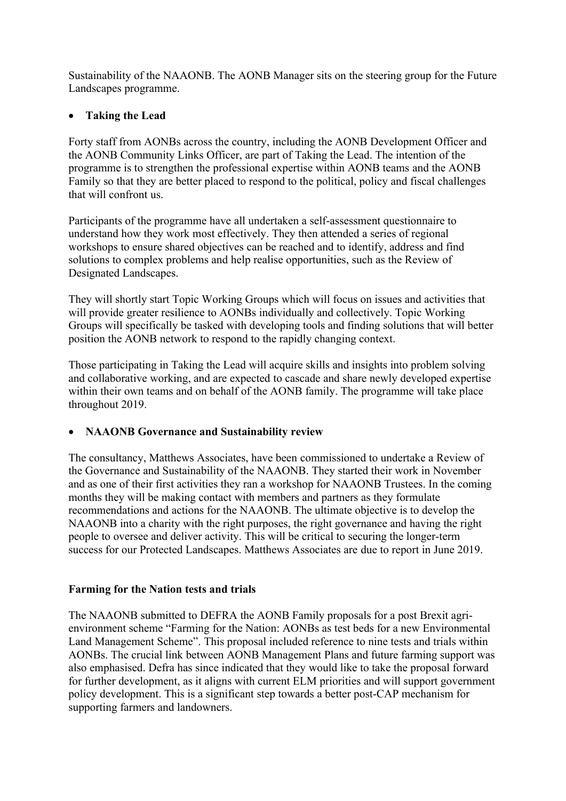Sustainability of the NAAONB. The AONB Manager sits on the steering group for the Future Landscapes programme.

# **Taking the Lead**

Forty staff from AONBs across the country, including the AONB Development Officer and the AONB Community Links Officer, are part of Taking the Lead. The intention of the programme is to strengthen the professional expertise within AONB teams and the AONB Family so that they are better placed to respond to the political, policy and fiscal challenges that will confront us.

Participants of the programme have all undertaken a self-assessment questionnaire to understand how they work most effectively. They then attended a series of regional workshops to ensure shared objectives can be reached and to identify, address and find solutions to complex problems and help realise opportunities, such as the Review of Designated Landscapes.

They will shortly start Topic Working Groups which will focus on issues and activities that will provide greater resilience to AONBs individually and collectively. Topic Working Groups will specifically be tasked with developing tools and finding solutions that will better position the AONB network to respond to the rapidly changing context.

Those participating in Taking the Lead will acquire skills and insights into problem solving and collaborative working, and are expected to cascade and share newly developed expertise within their own teams and on behalf of the AONB family. The programme will take place throughout 2019.

# **NAAONB Governance and Sustainability review**

The consultancy, Matthews Associates, have been commissioned to undertake a Review of the Governance and Sustainability of the NAAONB. They started their work in November and as one of their first activities they ran a workshop for NAAONB Trustees. In the coming months they will be making contact with members and partners as they formulate recommendations and actions for the NAAONB. The ultimate objective is to develop the NAAONB into a charity with the right purposes, the right governance and having the right people to oversee and deliver activity. This will be critical to securing the longer-term success for our Protected Landscapes. Matthews Associates are due to report in June 2019.

# **Farming for the Nation tests and trials**

The NAAONB submitted to DEFRA the AONB Family proposals for a post Brexit agrienvironment scheme "Farming for the Nation: AONBs as test beds for a new Environmental Land Management Scheme". This proposal included reference to nine tests and trials within AONBs. The crucial link between AONB Management Plans and future farming support was also emphasised. Defra has since indicated that they would like to take the proposal forward for further development, as it aligns with current ELM priorities and will support government policy development. This is a significant step towards a better post-CAP mechanism for supporting farmers and landowners.